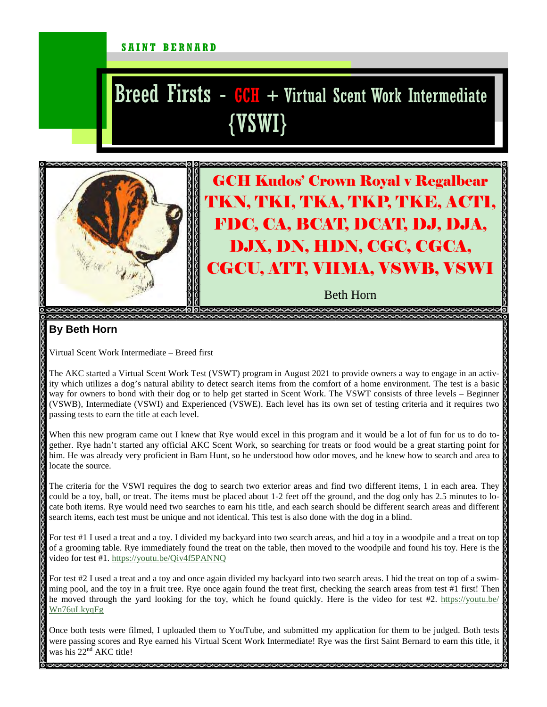## SAINT BERNARD

## Breed Firsts -  $GCH$  + Virtual Scent Work Intermediate {VSWI}



GCH Kudos' Crown Royal v Regalbear TKN, TKI, TKA, TKP, TKE, ACT1, FDC, CA, BCAT, DCAT, DJ, DJA, DJX, DN, HDN, CGC, CGCA, CGCU, ATT, VHMA, VSWB, VSWI

Beth Horn

## **By Beth Horn**

Virtual Scent Work Intermediate – Breed first

The AKC started a Virtual Scent Work Test (VSWT) program in August 2021 to provide owners a way to engage in an activity which utilizes a dog's natural ability to detect search items from the comfort of a home environment. The test is a basic way for owners to bond with their dog or to help get started in Scent Work. The VSWT consists of three levels – Beginner (VSWB), Intermediate (VSWI) and Experienced (VSWE). Each level has its own set of testing criteria and it requires two passing tests to earn the title at each level.

When this new program came out I knew that Rye would excel in this program and it would be a lot of fun for us to do together. Rye hadn't started any official AKC Scent Work, so searching for treats or food would be a great starting point for him. He was already very proficient in Barn Hunt, so he understood how odor moves, and he knew how to search and area to locate the source.

The criteria for the VSWI requires the dog to search two exterior areas and find two different items, 1 in each area. They could be a toy, ball, or treat. The items must be placed about 1-2 feet off the ground, and the dog only has 2.5 minutes to locate both items. Rye would need two searches to earn his title, and each search should be different search areas and different  $\mathbb Q$ search items, each test must be unique and not identical. This test is also done with the dog in a blind.

For test #1 I used a treat and a toy. I divided my backyard into two search areas, and hid a toy in a woodpile and a treat on top of a grooming table. Rye immediately found the treat on the table, then moved to the woodpile and found his toy. Here is the video for test #1. https://youtu.be/Qiv4f5PANNQ

For test #2 I used a treat and a toy and once again divided my backyard into two search areas. I hid the treat on top of a swimming pool, and the toy in a fruit tree. Rye once again found the treat first, checking the search areas from test #1 first! Then he moved through the yard looking for the toy, which he found quickly. Here is the video for test #2. https://youtu.be/ Wn76uLkyqFg

Once both tests were filmed, I uploaded them to YouTube, and submitted my application for them to be judged. Both tests were passing scores and Rye earned his Virtual Scent Work Intermediate! Rye was the first Saint Bernard to earn this title, it was his  $22^{nd}$  AKC title!